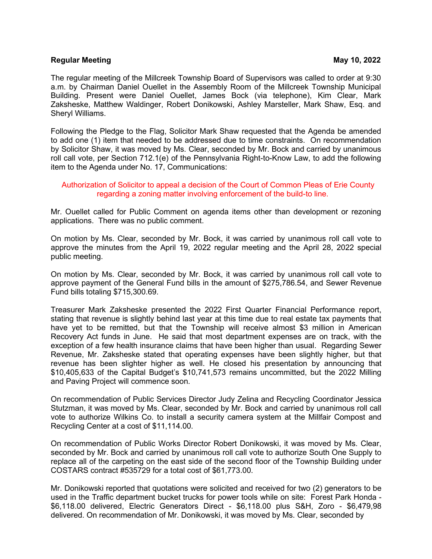## **Regular Meeting May 10, 2022**

The regular meeting of the Millcreek Township Board of Supervisors was called to order at 9:30 a.m. by Chairman Daniel Ouellet in the Assembly Room of the Millcreek Township Municipal Building. Present were Daniel Ouellet, James Bock (via telephone), Kim Clear, Mark Zaksheske, Matthew Waldinger, Robert Donikowski, Ashley Marsteller, Mark Shaw, Esq. and Sheryl Williams.

Following the Pledge to the Flag, Solicitor Mark Shaw requested that the Agenda be amended to add one (1) item that needed to be addressed due to time constraints. On recommendation by Solicitor Shaw, it was moved by Ms. Clear, seconded by Mr. Bock and carried by unanimous roll call vote, per Section 712.1(e) of the Pennsylvania Right-to-Know Law, to add the following item to the Agenda under No. 17, Communications:

## Authorization of Solicitor to appeal a decision of the Court of Common Pleas of Erie County regarding a zoning matter involving enforcement of the build-to line.

Mr. Ouellet called for Public Comment on agenda items other than development or rezoning applications. There was no public comment.

On motion by Ms. Clear, seconded by Mr. Bock, it was carried by unanimous roll call vote to approve the minutes from the April 19, 2022 regular meeting and the April 28, 2022 special public meeting.

On motion by Ms. Clear, seconded by Mr. Bock, it was carried by unanimous roll call vote to approve payment of the General Fund bills in the amount of \$275,786.54, and Sewer Revenue Fund bills totaling \$715,300.69.

Treasurer Mark Zaksheske presented the 2022 First Quarter Financial Performance report, stating that revenue is slightly behind last year at this time due to real estate tax payments that have yet to be remitted, but that the Township will receive almost \$3 million in American Recovery Act funds in June. He said that most department expenses are on track, with the exception of a few health insurance claims that have been higher than usual. Regarding Sewer Revenue, Mr. Zaksheske stated that operating expenses have been slightly higher, but that revenue has been slighter higher as well. He closed his presentation by announcing that \$10,405,633 of the Capital Budget's \$10,741,573 remains uncommitted, but the 2022 Milling and Paving Project will commence soon.

On recommendation of Public Services Director Judy Zelina and Recycling Coordinator Jessica Stutzman, it was moved by Ms. Clear, seconded by Mr. Bock and carried by unanimous roll call vote to authorize Wilkins Co. to install a security camera system at the Millfair Compost and Recycling Center at a cost of \$11,114.00.

On recommendation of Public Works Director Robert Donikowski, it was moved by Ms. Clear, seconded by Mr. Bock and carried by unanimous roll call vote to authorize South One Supply to replace all of the carpeting on the east side of the second floor of the Township Building under COSTARS contract #535729 for a total cost of \$61,773.00.

Mr. Donikowski reported that quotations were solicited and received for two (2) generators to be used in the Traffic department bucket trucks for power tools while on site: Forest Park Honda - \$6,118.00 delivered, Electric Generators Direct - \$6,118.00 plus S&H, Zoro - \$6,479,98 delivered. On recommendation of Mr. Donikowski, it was moved by Ms. Clear, seconded by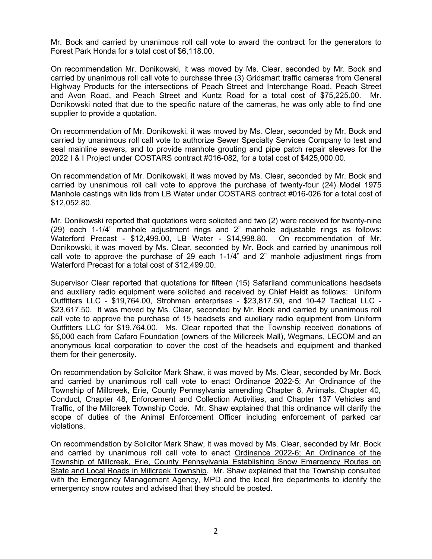Mr. Bock and carried by unanimous roll call vote to award the contract for the generators to Forest Park Honda for a total cost of \$6,118.00.

On recommendation Mr. Donikowski, it was moved by Ms. Clear, seconded by Mr. Bock and carried by unanimous roll call vote to purchase three (3) Gridsmart traffic cameras from General Highway Products for the intersections of Peach Street and Interchange Road, Peach Street and Avon Road, and Peach Street and Kuntz Road for a total cost of \$75,225.00. Mr. Donikowski noted that due to the specific nature of the cameras, he was only able to find one supplier to provide a quotation.

On recommendation of Mr. Donikowski, it was moved by Ms. Clear, seconded by Mr. Bock and carried by unanimous roll call vote to authorize Sewer Specialty Services Company to test and seal mainline sewers, and to provide manhole grouting and pipe patch repair sleeves for the 2022 I & I Project under COSTARS contract #016-082, for a total cost of \$425,000.00.

On recommendation of Mr. Donikowski, it was moved by Ms. Clear, seconded by Mr. Bock and carried by unanimous roll call vote to approve the purchase of twenty-four (24) Model 1975 Manhole castings with lids from LB Water under COSTARS contract #016-026 for a total cost of \$12,052.80.

Mr. Donikowski reported that quotations were solicited and two (2) were received for twenty-nine (29) each 1-1/4" manhole adjustment rings and 2" manhole adjustable rings as follows: Waterford Precast - \$12,499.00, LB Water - \$14,998.80. On recommendation of Mr. Donikowski, it was moved by Ms. Clear, seconded by Mr. Bock and carried by unanimous roll call vote to approve the purchase of 29 each 1-1/4" and 2" manhole adjustment rings from Waterford Precast for a total cost of \$12,499.00.

Supervisor Clear reported that quotations for fifteen (15) Safariland communications headsets and auxiliary radio equipment were solicited and received by Chief Heidt as follows: Uniform Outfitters LLC - \$19,764.00, Strohman enterprises - \$23,817.50, and 10-42 Tactical LLC - \$23,617.50. It was moved by Ms. Clear, seconded by Mr. Bock and carried by unanimous roll call vote to approve the purchase of 15 headsets and auxiliary radio equipment from Uniform Outfitters LLC for \$19,764.00. Ms. Clear reported that the Township received donations of \$5,000 each from Cafaro Foundation (owners of the Millcreek Mall), Wegmans, LECOM and an anonymous local corporation to cover the cost of the headsets and equipment and thanked them for their generosity.

On recommendation by Solicitor Mark Shaw, it was moved by Ms. Clear, seconded by Mr. Bock and carried by unanimous roll call vote to enact Ordinance 2022-5; An Ordinance of the Township of Millcreek, Erie, County Pennsylvania amending Chapter 8, Animals, Chapter 40, Conduct, Chapter 48, Enforcement and Collection Activities, and Chapter 137 Vehicles and Traffic, of the Millcreek Township Code. Mr. Shaw explained that this ordinance will clarify the scope of duties of the Animal Enforcement Officer including enforcement of parked car violations.

On recommendation by Solicitor Mark Shaw, it was moved by Ms. Clear, seconded by Mr. Bock and carried by unanimous roll call vote to enact Ordinance 2022-6; An Ordinance of the Township of Millcreek, Erie, County Pennsylvania Establishing Snow Emergency Routes on State and Local Roads in Millcreek Township. Mr. Shaw explained that the Township consulted with the Emergency Management Agency, MPD and the local fire departments to identify the emergency snow routes and advised that they should be posted.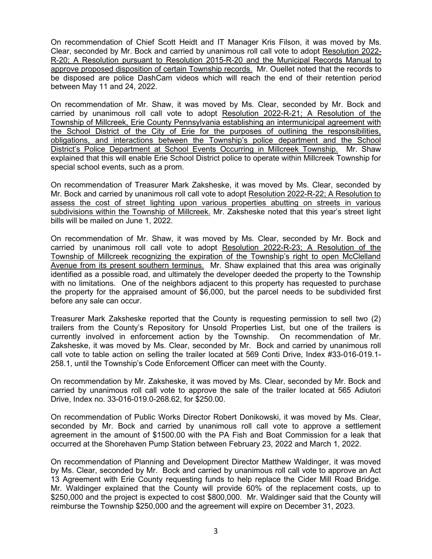On recommendation of Chief Scott Heidt and IT Manager Kris Filson, it was moved by Ms. Clear, seconded by Mr. Bock and carried by unanimous roll call vote to adopt Resolution 2022- R-20; A Resolution pursuant to Resolution 2015-R-20 and the Municipal Records Manual to approve proposed disposition of certain Township records. Mr. Ouellet noted that the records to be disposed are police DashCam videos which will reach the end of their retention period between May 11 and 24, 2022.

On recommendation of Mr. Shaw, it was moved by Ms. Clear, seconded by Mr. Bock and carried by unanimous roll call vote to adopt Resolution 2022-R-21; A Resolution of the Township of Millcreek, Erie County Pennsylvania establishing an intermunicipal agreement with the School District of the City of Erie for the purposes of outlining the responsibilities, obligations, and interactions between the Township's police department and the School District's Police Department at School Events Occurring in Millcreek Township. Mr. Shaw explained that this will enable Erie School District police to operate within Millcreek Township for special school events, such as a prom.

On recommendation of Treasurer Mark Zaksheske, it was moved by Ms. Clear, seconded by Mr. Bock and carried by unanimous roll call vote to adopt Resolution 2022-R-22; A Resolution to assess the cost of street lighting upon various properties abutting on streets in various subdivisions within the Township of Millcreek. Mr. Zaksheske noted that this year's street light bills will be mailed on June 1, 2022.

On recommendation of Mr. Shaw, it was moved by Ms. Clear, seconded by Mr. Bock and carried by unanimous roll call vote to adopt Resolution 2022-R-23; A Resolution of the Township of Millcreek recognizing the expiration of the Township's right to open McClelland Avenue from its present southern terminus. Mr. Shaw explained that this area was originally identified as a possible road, and ultimately the developer deeded the property to the Township with no limitations. One of the neighbors adjacent to this property has requested to purchase the property for the appraised amount of \$6,000, but the parcel needs to be subdivided first before any sale can occur.

Treasurer Mark Zaksheske reported that the County is requesting permission to sell two (2) trailers from the County's Repository for Unsold Properties List, but one of the trailers is currently involved in enforcement action by the Township. On recommendation of Mr. Zaksheske, it was moved by Ms. Clear, seconded by Mr. Bock and carried by unanimous roll call vote to table action on selling the trailer located at 569 Conti Drive, Index #33-016-019.1- 258.1, until the Township's Code Enforcement Officer can meet with the County.

On recommendation by Mr. Zaksheske, it was moved by Ms. Clear, seconded by Mr. Bock and carried by unanimous roll call vote to approve the sale of the trailer located at 565 Adiutori Drive, Index no. 33-016-019.0-268.62, for \$250.00.

On recommendation of Public Works Director Robert Donikowski, it was moved by Ms. Clear, seconded by Mr. Bock and carried by unanimous roll call vote to approve a settlement agreement in the amount of \$1500.00 with the PA Fish and Boat Commission for a leak that occurred at the Shorehaven Pump Station between February 23, 2022 and March 1, 2022.

On recommendation of Planning and Development Director Matthew Waldinger, it was moved by Ms. Clear, seconded by Mr. Bock and carried by unanimous roll call vote to approve an Act 13 Agreement with Erie County requesting funds to help replace the Cider Mill Road Bridge. Mr. Waldinger explained that the County will provide 60% of the replacement costs, up to \$250,000 and the project is expected to cost \$800,000. Mr. Waldinger said that the County will reimburse the Township \$250,000 and the agreement will expire on December 31, 2023.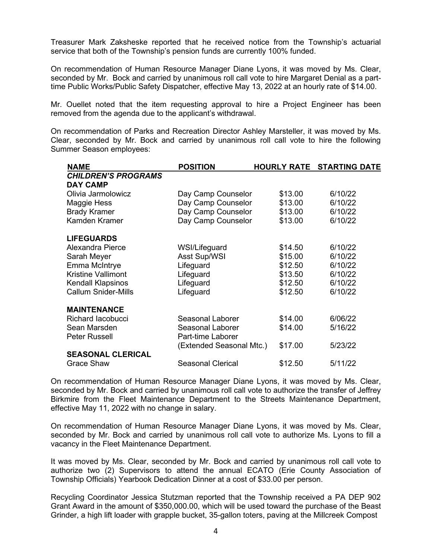Treasurer Mark Zaksheske reported that he received notice from the Township's actuarial service that both of the Township's pension funds are currently 100% funded.

On recommendation of Human Resource Manager Diane Lyons, it was moved by Ms. Clear, seconded by Mr. Bock and carried by unanimous roll call vote to hire Margaret Denial as a parttime Public Works/Public Safety Dispatcher, effective May 13, 2022 at an hourly rate of \$14.00.

Mr. Ouellet noted that the item requesting approval to hire a Project Engineer has been removed from the agenda due to the applicant's withdrawal.

On recommendation of Parks and Recreation Director Ashley Marsteller, it was moved by Ms. Clear, seconded by Mr. Bock and carried by unanimous roll call vote to hire the following Summer Season employees:

| NAME                       | <b>POSITION</b>          |         | <b>HOURLY RATE STARTING DATE</b> |
|----------------------------|--------------------------|---------|----------------------------------|
| <b>CHILDREN'S PROGRAMS</b> |                          |         |                                  |
| <b>DAY CAMP</b>            |                          |         |                                  |
| Olivia Jarmolowicz         | Day Camp Counselor       | \$13.00 | 6/10/22                          |
| Maggie Hess                | Day Camp Counselor       | \$13.00 | 6/10/22                          |
| <b>Brady Kramer</b>        | Day Camp Counselor       | \$13.00 | 6/10/22                          |
| Kamden Kramer              | Day Camp Counselor       | \$13.00 | 6/10/22                          |
| <b>LIFEGUARDS</b>          |                          |         |                                  |
| Alexandra Pierce           | WSI/Lifeguard            | \$14.50 | 6/10/22                          |
| Sarah Meyer                | Asst Sup/WSI             | \$15.00 | 6/10/22                          |
| Emma McIntrye              | Lifeguard                | \$12.50 | 6/10/22                          |
| <b>Kristine Vallimont</b>  | Lifeguard                | \$13.50 | 6/10/22                          |
| <b>Kendall Klapsinos</b>   | Lifeguard                | \$12.50 | 6/10/22                          |
| <b>Callum Snider-Mills</b> | Lifeguard                | \$12.50 | 6/10/22                          |
| <b>MAINTENANCE</b>         |                          |         |                                  |
| Richard Iacobucci          | Seasonal Laborer         | \$14.00 | 6/06/22                          |
| Sean Marsden               | Seasonal Laborer         | \$14.00 | 5/16/22                          |
| <b>Peter Russell</b>       | Part-time Laborer        |         |                                  |
|                            | (Extended Seasonal Mtc.) | \$17.00 | 5/23/22                          |
| <b>SEASONAL CLERICAL</b>   |                          |         |                                  |
| <b>Grace Shaw</b>          | Seasonal Clerical        | \$12.50 | 5/11/22                          |

On recommendation of Human Resource Manager Diane Lyons, it was moved by Ms. Clear, seconded by Mr. Bock and carried by unanimous roll call vote to authorize the transfer of Jeffrey Birkmire from the Fleet Maintenance Department to the Streets Maintenance Department, effective May 11, 2022 with no change in salary.

On recommendation of Human Resource Manager Diane Lyons, it was moved by Ms. Clear, seconded by Mr. Bock and carried by unanimous roll call vote to authorize Ms. Lyons to fill a vacancy in the Fleet Maintenance Department.

It was moved by Ms. Clear, seconded by Mr. Bock and carried by unanimous roll call vote to authorize two (2) Supervisors to attend the annual ECATO (Erie County Association of Township Officials) Yearbook Dedication Dinner at a cost of \$33.00 per person.

Recycling Coordinator Jessica Stutzman reported that the Township received a PA DEP 902 Grant Award in the amount of \$350,000.00, which will be used toward the purchase of the Beast Grinder, a high lift loader with grapple bucket, 35-gallon toters, paving at the Millcreek Compost